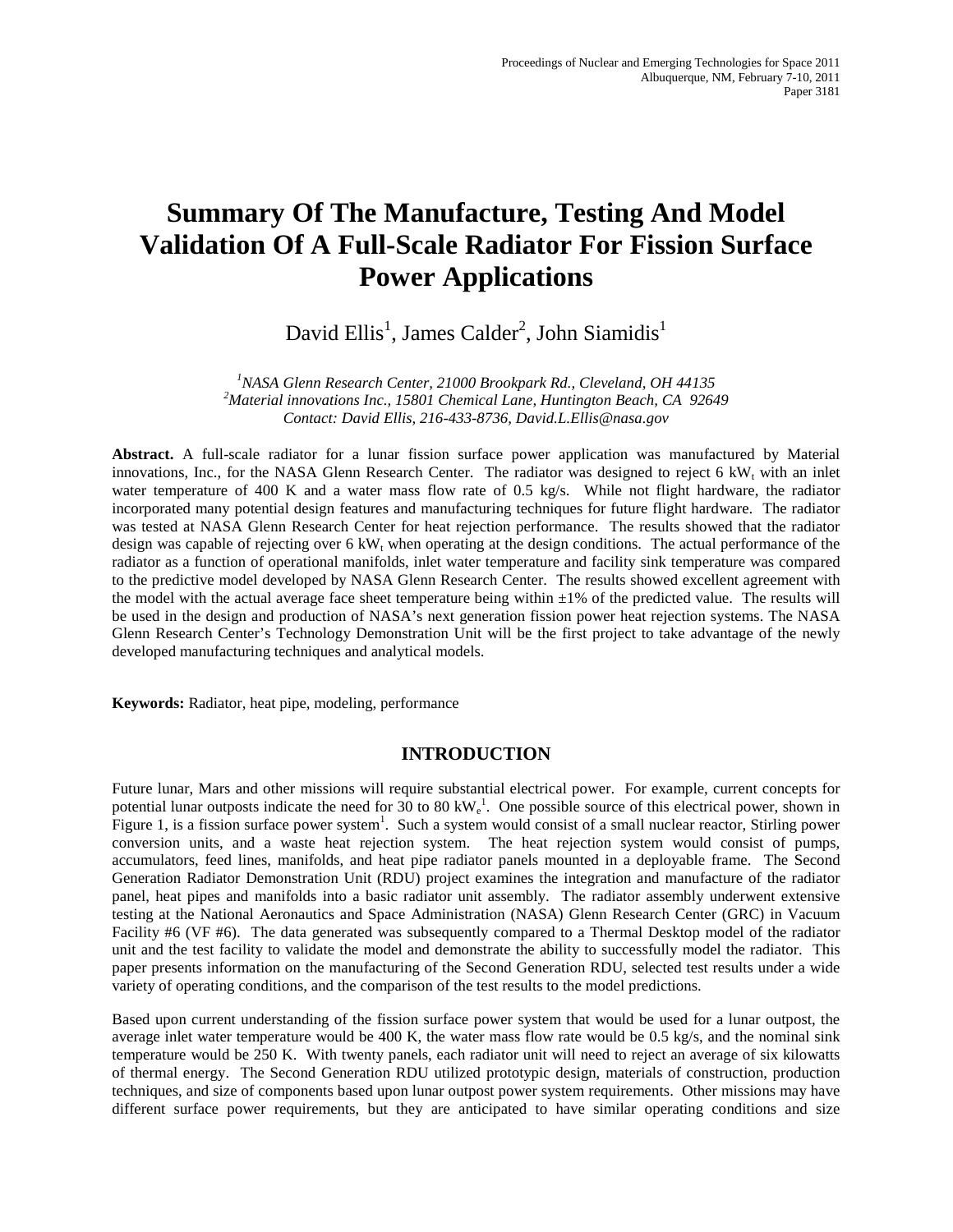# **Summary Of The Manufacture, Testing And Model Validation Of A Full-Scale Radiator For Fission Surface Power Applications**

David Ellis<sup>1</sup>, James Calder<sup>2</sup>, John Siamidis<sup>1</sup>

<sup>1</sup> NASA Glenn Research Center, 21000 Brookpark Rd., Cleveland, OH 44135<sup>2</sup><br><sup>2</sup>Material innovations Inc., 15801 Chamical Lane, Huntineter Beach, CA, 026 *Material innovations Inc., 15801 Chemical Lane, Huntington Beach, CA 92649 Contact: David Ellis, 216-433-8736, David.L.Ellis@nasa.gov*

**Abstract.** A full-scale radiator for a lunar fission surface power application was manufactured by Material innovations, Inc., for the NASA Glenn Research Center. The radiator was designed to reject 6 kW<sub>t</sub> with an inlet water temperature of 400 K and a water mass flow rate of 0.5 kg/s. While not flight hardware, the radiator incorporated many potential design features and manufacturing techniques for future flight hardware. The radiator was tested at NASA Glenn Research Center for heat rejection performance. The results showed that the radiator design was capable of rejecting over 6  $kW_t$  when operating at the design conditions. The actual performance of the radiator as a function of operational manifolds, inlet water temperature and facility sink temperature was compared to the predictive model developed by NASA Glenn Research Center. The results showed excellent agreement with the model with the actual average face sheet temperature being within ±1% of the predicted value. The results will be used in the design and production of NASA's next generation fission power heat rejection systems. The NASA Glenn Research Center's Technology Demonstration Unit will be the first project to take advantage of the newly developed manufacturing techniques and analytical models.

**Keywords:** Radiator, heat pipe, modeling, performance

## **INTRODUCTION**

Future lunar, Mars and other missions will require substantial electrical power. For example, current concepts for potential lunar outposts indicate the need for 30 to 80 kW $_{\rm e}^{1}$ . One possible source of this electrical power, shown in Figure 1, is a fission surface power system<sup>1</sup>. Such a system would consist of a small nuclear reactor, Stirling power conversion units, and a waste heat rejection system. The heat rejection system would consist of pumps, accumulators, feed lines, manifolds, and heat pipe radiator panels mounted in a deployable frame. The Second Generation Radiator Demonstration Unit (RDU) project examines the integration and manufacture of the radiator panel, heat pipes and manifolds into a basic radiator unit assembly. The radiator assembly underwent extensive testing at the National Aeronautics and Space Administration (NASA) Glenn Research Center (GRC) in Vacuum Facility #6 (VF #6). The data generated was subsequently compared to a Thermal Desktop model of the radiator unit and the test facility to validate the model and demonstrate the ability to successfully model the radiator. This paper presents information on the manufacturing of the Second Generation RDU, selected test results under a wide variety of operating conditions, and the comparison of the test results to the model predictions.

Based upon current understanding of the fission surface power system that would be used for a lunar outpost, the average inlet water temperature would be 400 K, the water mass flow rate would be 0.5 kg/s, and the nominal sink temperature would be 250 K. With twenty panels, each radiator unit will need to reject an average of six kilowatts of thermal energy. The Second Generation RDU utilized prototypic design, materials of construction, production techniques, and size of components based upon lunar outpost power system requirements. Other missions may have different surface power requirements, but they are anticipated to have similar operating conditions and size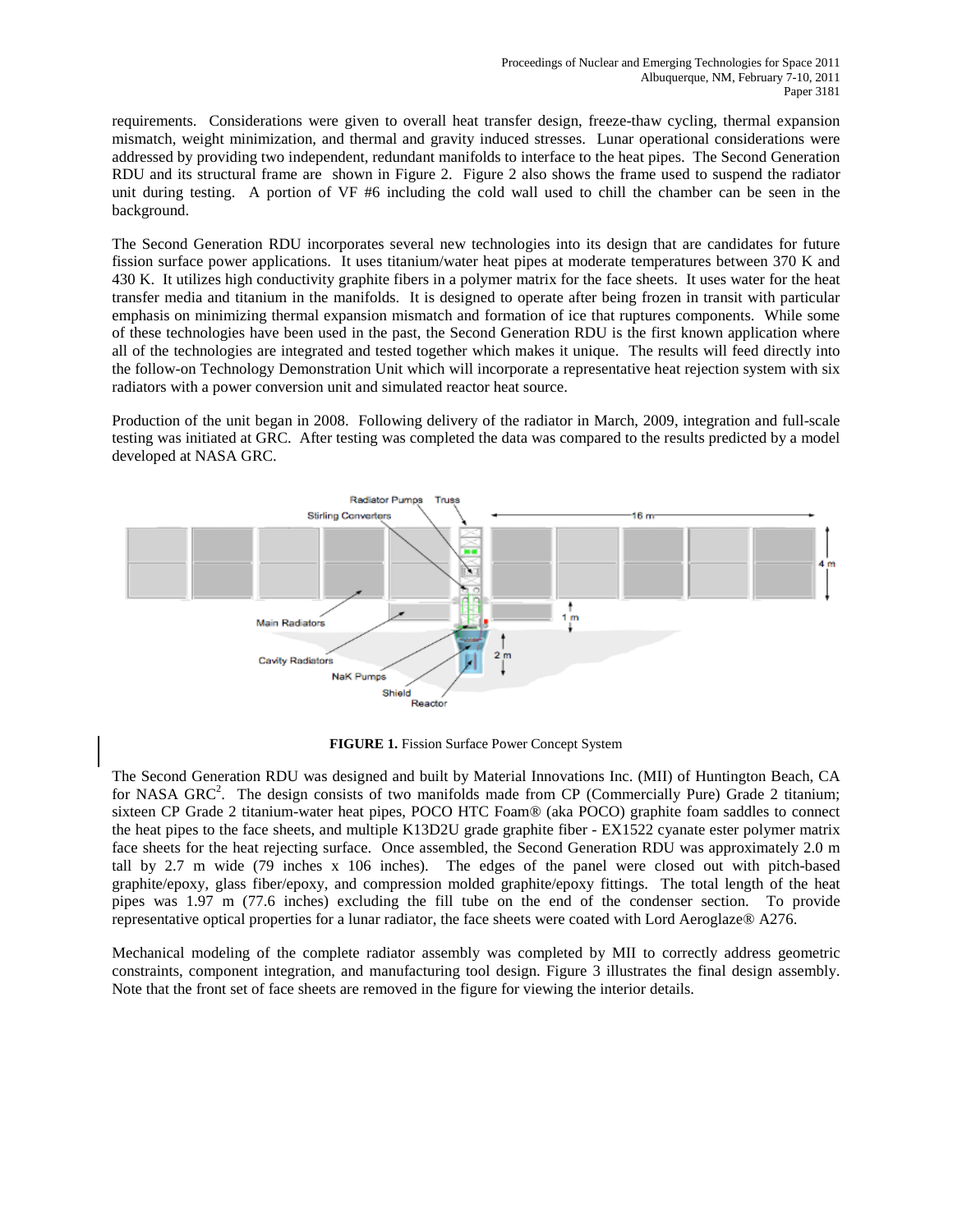requirements. Considerations were given to overall heat transfer design, freeze-thaw cycling, thermal expansion mismatch, weight minimization, and thermal and gravity induced stresses. Lunar operational considerations were addressed by providing two independent, redundant manifolds to interface to the heat pipes. The Second Generation RDU and its structural frame are shown in Figure 2. Figure 2 also shows the frame used to suspend the radiator unit during testing. A portion of VF #6 including the cold wall used to chill the chamber can be seen in the background.

The Second Generation RDU incorporates several new technologies into its design that are candidates for future fission surface power applications. It uses titanium/water heat pipes at moderate temperatures between 370 K and 430 K. It utilizes high conductivity graphite fibers in a polymer matrix for the face sheets. It uses water for the heat transfer media and titanium in the manifolds. It is designed to operate after being frozen in transit with particular emphasis on minimizing thermal expansion mismatch and formation of ice that ruptures components. While some of these technologies have been used in the past, the Second Generation RDU is the first known application where all of the technologies are integrated and tested together which makes it unique. The results will feed directly into the follow-on Technology Demonstration Unit which will incorporate a representative heat rejection system with six radiators with a power conversion unit and simulated reactor heat source.

Production of the unit began in 2008. Following delivery of the radiator in March, 2009, integration and full-scale testing was initiated at GRC. After testing was completed the data was compared to the results predicted by a model developed at NASA GRC.



**FIGURE 1.** Fission Surface Power Concept System

The Second Generation RDU was designed and built by Material Innovations Inc. (MII) of Huntington Beach, CA for NASA GRC<sup>2</sup>. The design consists of two manifolds made from CP (Commercially Pure) Grade 2 titanium; sixteen CP Grade 2 titanium-water heat pipes, POCO HTC Foam® (aka POCO) graphite foam saddles to connect the heat pipes to the face sheets, and multiple K13D2U grade graphite fiber - EX1522 cyanate ester polymer matrix face sheets for the heat rejecting surface. Once assembled, the Second Generation RDU was approximately 2.0 m tall by 2.7 m wide (79 inches x 106 inches). The edges of the panel were closed out with pitch-based graphite/epoxy, glass fiber/epoxy, and compression molded graphite/epoxy fittings. The total length of the heat pipes was 1.97 m (77.6 inches) excluding the fill tube on the end of the condenser section. To provide representative optical properties for a lunar radiator, the face sheets were coated with Lord Aeroglaze® A276.

Mechanical modeling of the complete radiator assembly was completed by MII to correctly address geometric constraints, component integration, and manufacturing tool design. Figure 3 illustrates the final design assembly. Note that the front set of face sheets are removed in the figure for viewing the interior details.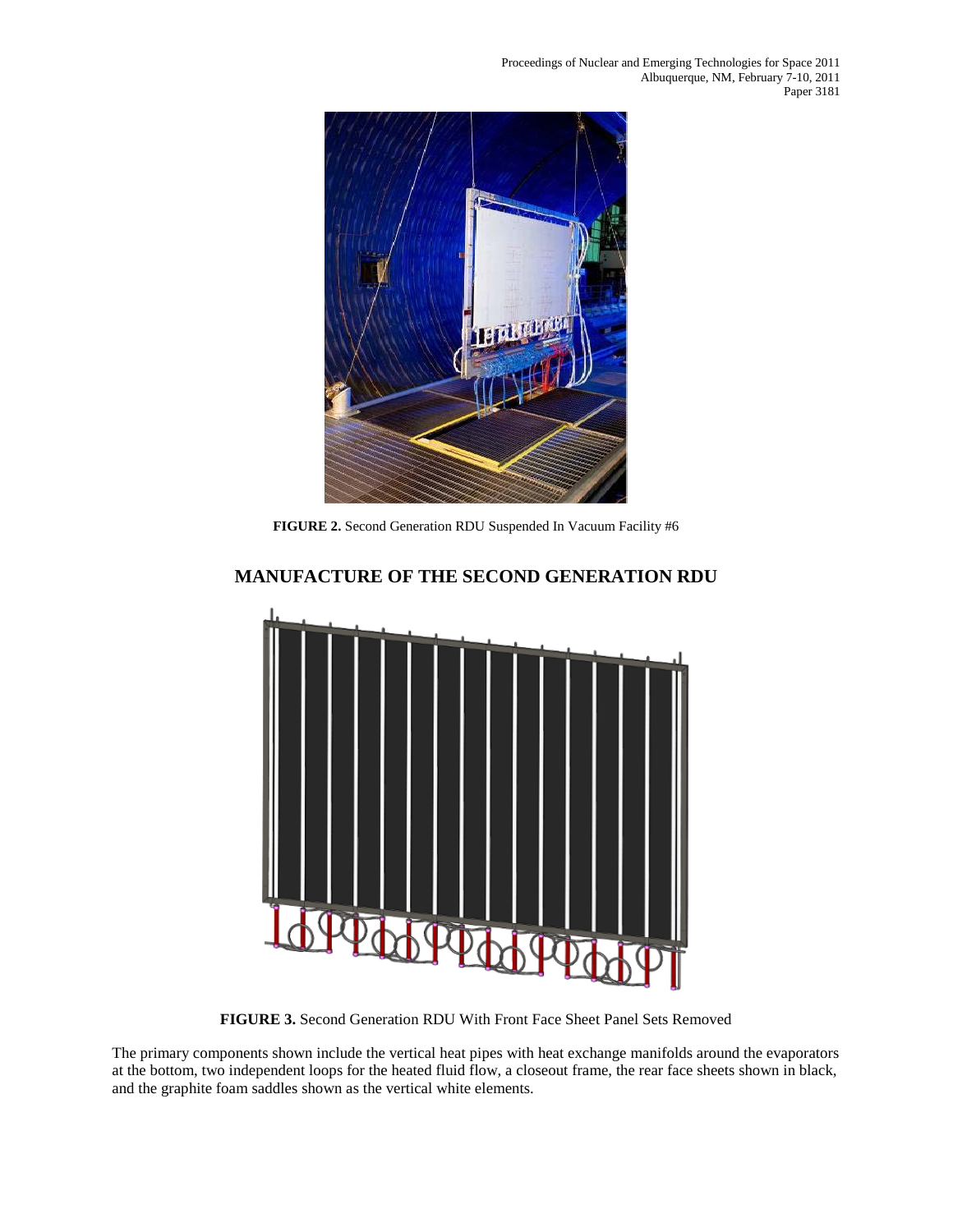Proceedings of Nuclear and Emerging Technologies for Space 2011 Albuquerque, NM, February 7-10, 2011 Paper 3181



**FIGURE 2.** Second Generation RDU Suspended In Vacuum Facility #6



# **MANUFACTURE OF THE SECOND GENERATION RDU**

**FIGURE 3.** Second Generation RDU With Front Face Sheet Panel Sets Removed

The primary components shown include the vertical heat pipes with heat exchange manifolds around the evaporators at the bottom, two independent loops for the heated fluid flow, a closeout frame, the rear face sheets shown in black, and the graphite foam saddles shown as the vertical white elements.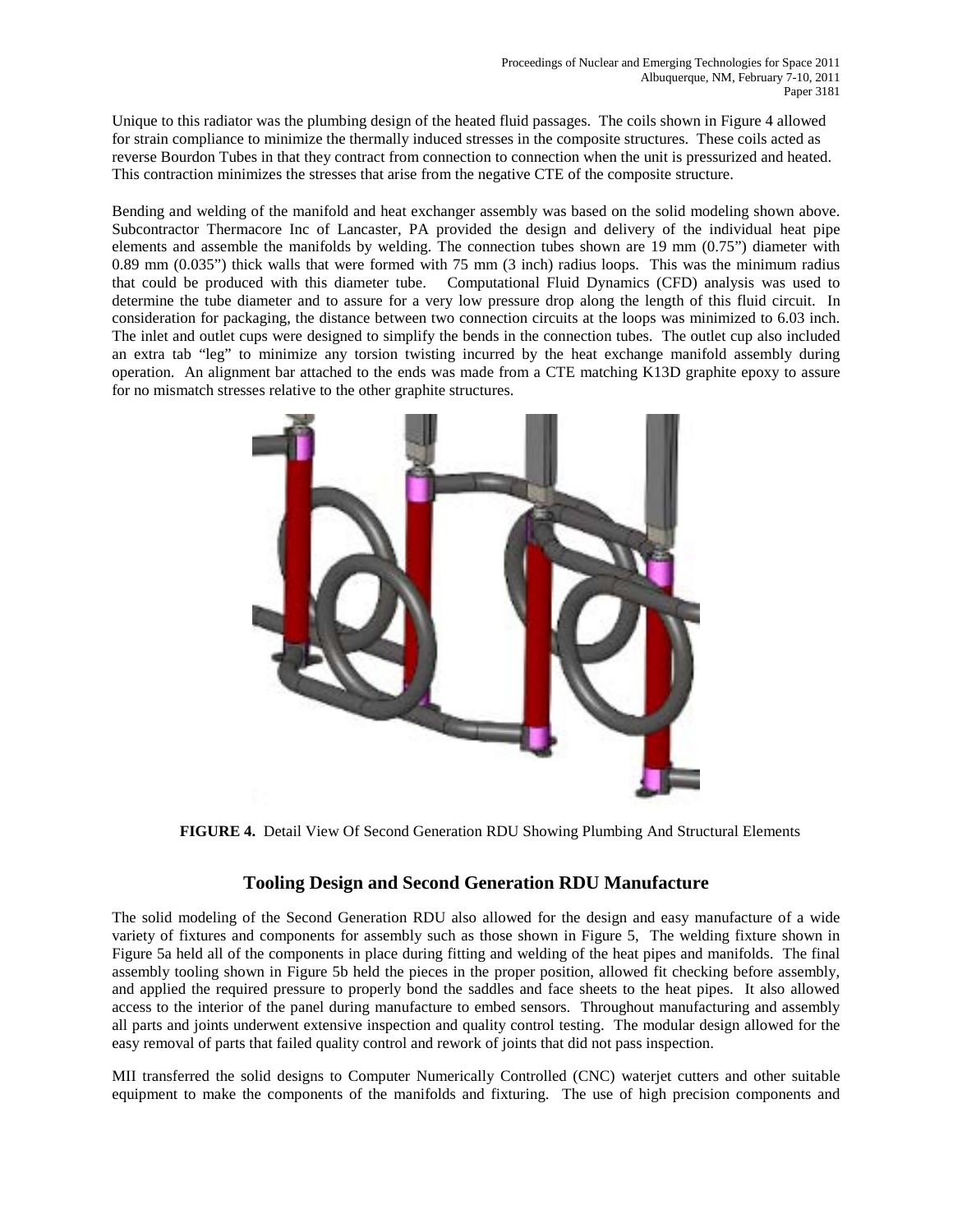Unique to this radiator was the plumbing design of the heated fluid passages. The coils shown in Figure 4 allowed for strain compliance to minimize the thermally induced stresses in the composite structures. These coils acted as reverse Bourdon Tubes in that they contract from connection to connection when the unit is pressurized and heated. This contraction minimizes the stresses that arise from the negative CTE of the composite structure.

Bending and welding of the manifold and heat exchanger assembly was based on the solid modeling shown above. Subcontractor Thermacore Inc of Lancaster, PA provided the design and delivery of the individual heat pipe elements and assemble the manifolds by welding. The connection tubes shown are 19 mm (0.75") diameter with 0.89 mm (0.035") thick walls that were formed with 75 mm (3 inch) radius loops. This was the minimum radius that could be produced with this diameter tube. Computational Fluid Dynamics (CFD) analysis was used to determine the tube diameter and to assure for a very low pressure drop along the length of this fluid circuit. In consideration for packaging, the distance between two connection circuits at the loops was minimized to 6.03 inch. The inlet and outlet cups were designed to simplify the bends in the connection tubes. The outlet cup also included an extra tab "leg" to minimize any torsion twisting incurred by the heat exchange manifold assembly during operation. An alignment bar attached to the ends was made from a CTE matching K13D graphite epoxy to assure for no mismatch stresses relative to the other graphite structures.



**FIGURE 4.** Detail View Of Second Generation RDU Showing Plumbing And Structural Elements

## **Tooling Design and Second Generation RDU Manufacture**

The solid modeling of the Second Generation RDU also allowed for the design and easy manufacture of a wide variety of fixtures and components for assembly such as those shown in Figure 5, The welding fixture shown in Figure 5a held all of the components in place during fitting and welding of the heat pipes and manifolds. The final assembly tooling shown in Figure 5b held the pieces in the proper position, allowed fit checking before assembly, and applied the required pressure to properly bond the saddles and face sheets to the heat pipes. It also allowed access to the interior of the panel during manufacture to embed sensors. Throughout manufacturing and assembly all parts and joints underwent extensive inspection and quality control testing. The modular design allowed for the easy removal of parts that failed quality control and rework of joints that did not pass inspection.

MII transferred the solid designs to Computer Numerically Controlled (CNC) waterjet cutters and other suitable equipment to make the components of the manifolds and fixturing. The use of high precision components and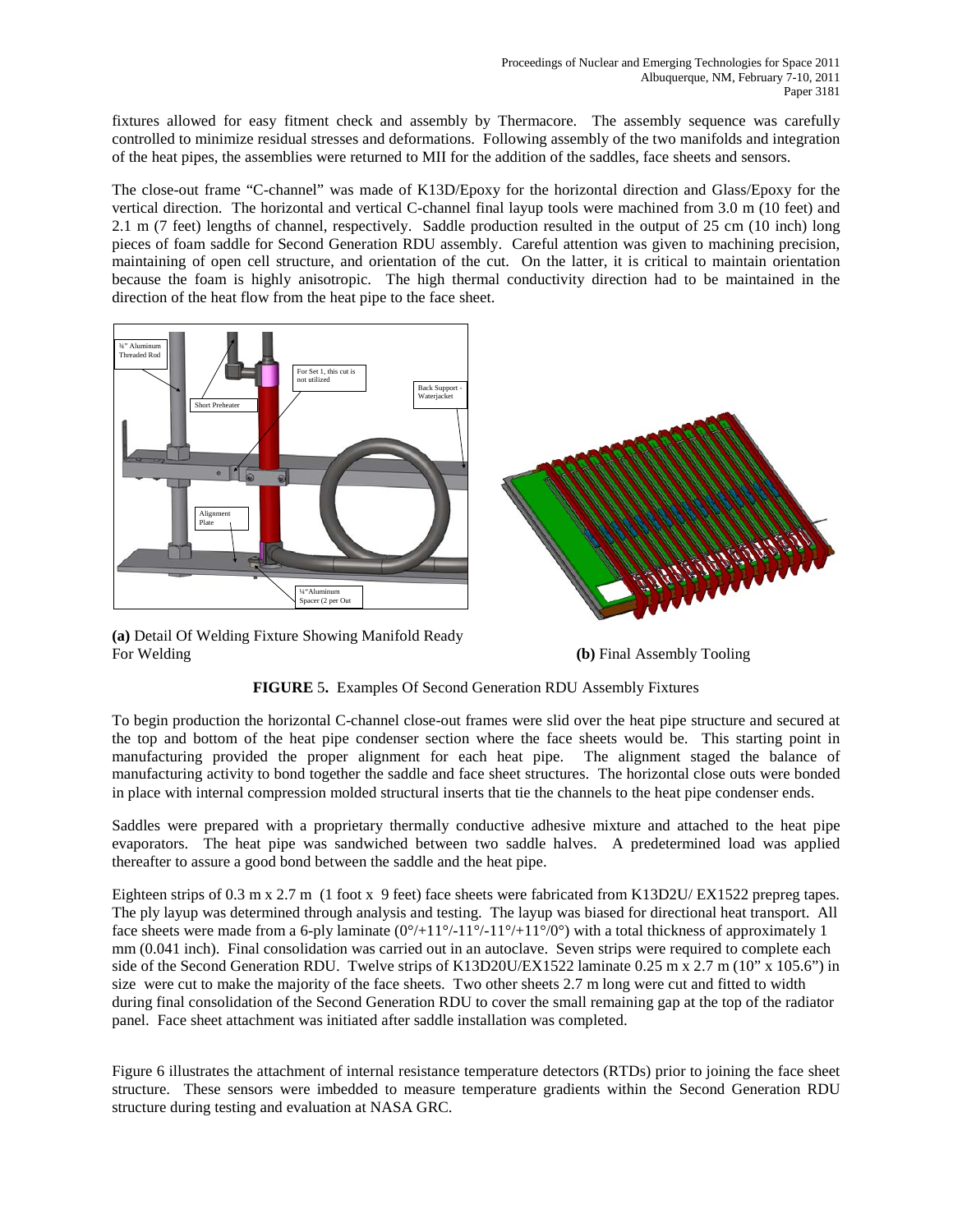fixtures allowed for easy fitment check and assembly by Thermacore. The assembly sequence was carefully controlled to minimize residual stresses and deformations. Following assembly of the two manifolds and integration of the heat pipes, the assemblies were returned to MII for the addition of the saddles, face sheets and sensors.

The close-out frame "C-channel" was made of K13D/Epoxy for the horizontal direction and Glass/Epoxy for the vertical direction. The horizontal and vertical C-channel final layup tools were machined from 3.0 m (10 feet) and 2.1 m (7 feet) lengths of channel, respectively. Saddle production resulted in the output of 25 cm (10 inch) long pieces of foam saddle for Second Generation RDU assembly. Careful attention was given to machining precision, maintaining of open cell structure, and orientation of the cut. On the latter, it is critical to maintain orientation because the foam is highly anisotropic. The high thermal conductivity direction had to be maintained in the direction of the heat flow from the heat pipe to the face sheet.



**(a)** Detail Of Welding Fixture Showing Manifold Ready For Welding **(b)** Final Assembly Tooling

#### **FIGURE** 5**.** Examples Of Second Generation RDU Assembly Fixtures

To begin production the horizontal C-channel close-out frames were slid over the heat pipe structure and secured at the top and bottom of the heat pipe condenser section where the face sheets would be. This starting point in manufacturing provided the proper alignment for each heat pipe. The alignment staged the balance of manufacturing activity to bond together the saddle and face sheet structures. The horizontal close outs were bonded in place with internal compression molded structural inserts that tie the channels to the heat pipe condenser ends.

Saddles were prepared with a proprietary thermally conductive adhesive mixture and attached to the heat pipe evaporators. The heat pipe was sandwiched between two saddle halves. A predetermined load was applied thereafter to assure a good bond between the saddle and the heat pipe.

Eighteen strips of 0.3 m x 2.7 m (1 foot x 9 feet) face sheets were fabricated from K13D2U/ EX1522 prepreg tapes. The ply layup was determined through analysis and testing. The layup was biased for directional heat transport. All face sheets were made from a 6-ply laminate  $(0^{\circ}/+11^{\circ}/-11^{\circ}/-11^{\circ}/+11^{\circ}/0^{\circ})$  with a total thickness of approximately 1 mm (0.041 inch). Final consolidation was carried out in an autoclave. Seven strips were required to complete each side of the Second Generation RDU. Twelve strips of K13D20U/EX1522 laminate 0.25 m x 2.7 m (10" x 105.6") in size were cut to make the majority of the face sheets. Two other sheets 2.7 m long were cut and fitted to width during final consolidation of the Second Generation RDU to cover the small remaining gap at the top of the radiator panel. Face sheet attachment was initiated after saddle installation was completed.

Figure 6 illustrates the attachment of internal resistance temperature detectors (RTDs) prior to joining the face sheet structure. These sensors were imbedded to measure temperature gradients within the Second Generation RDU structure during testing and evaluation at NASA GRC.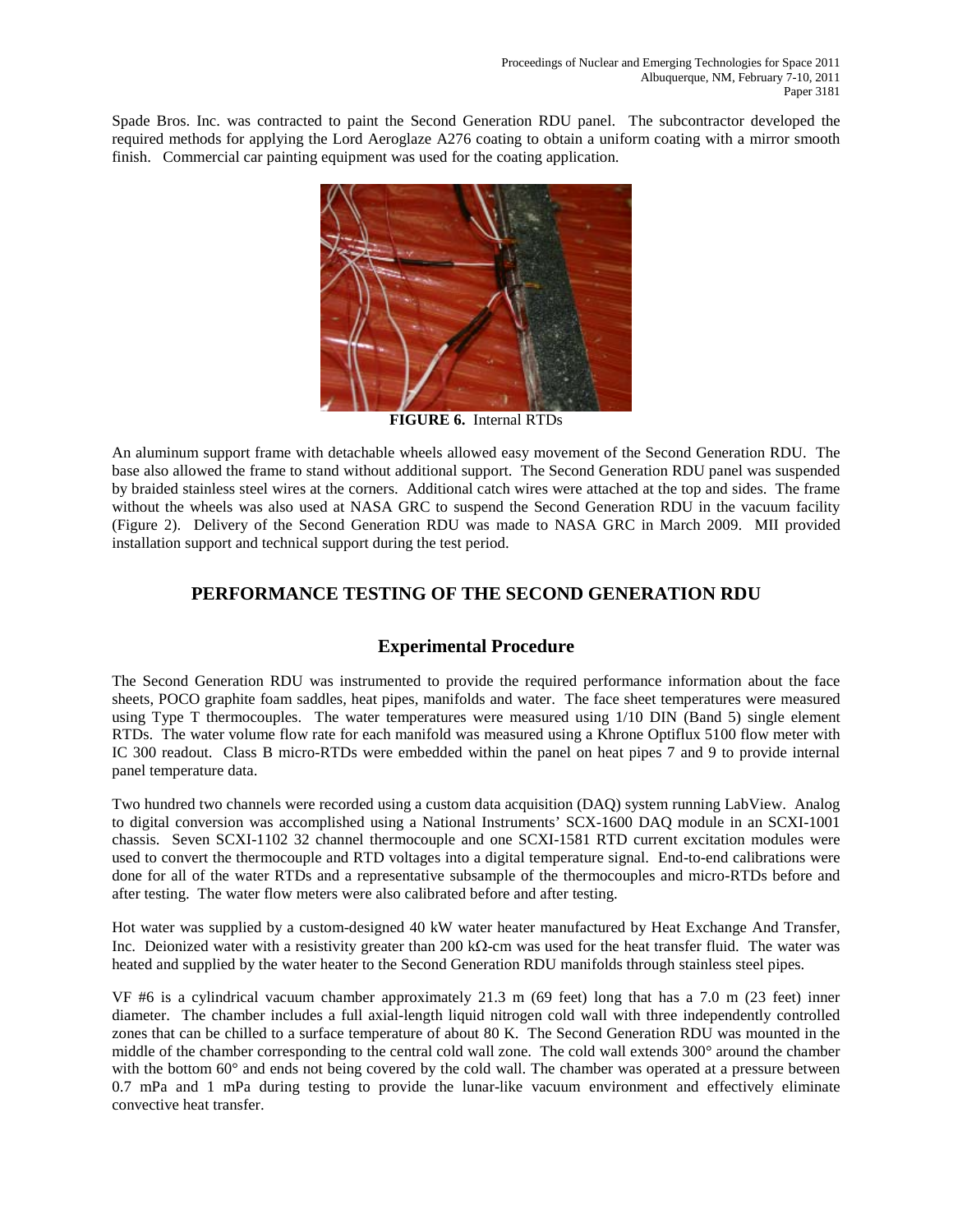Spade Bros. Inc. was contracted to paint the Second Generation RDU panel. The subcontractor developed the required methods for applying the Lord Aeroglaze A276 coating to obtain a uniform coating with a mirror smooth finish. Commercial car painting equipment was used for the coating application.



**FIGURE 6.** Internal RTDs

An aluminum support frame with detachable wheels allowed easy movement of the Second Generation RDU. The base also allowed the frame to stand without additional support. The Second Generation RDU panel was suspended by braided stainless steel wires at the corners. Additional catch wires were attached at the top and sides. The frame without the wheels was also used at NASA GRC to suspend the Second Generation RDU in the vacuum facility (Figure 2). Delivery of the Second Generation RDU was made to NASA GRC in March 2009. MII provided installation support and technical support during the test period.

# **PERFORMANCE TESTING OF THE SECOND GENERATION RDU**

# **Experimental Procedure**

The Second Generation RDU was instrumented to provide the required performance information about the face sheets, POCO graphite foam saddles, heat pipes, manifolds and water. The face sheet temperatures were measured using Type T thermocouples. The water temperatures were measured using 1/10 DIN (Band 5) single element RTDs. The water volume flow rate for each manifold was measured using a Khrone Optiflux 5100 flow meter with IC 300 readout. Class B micro-RTDs were embedded within the panel on heat pipes 7 and 9 to provide internal panel temperature data.

Two hundred two channels were recorded using a custom data acquisition (DAQ) system running LabView. Analog to digital conversion was accomplished using a National Instruments' SCX-1600 DAQ module in an SCXI-1001 chassis. Seven SCXI-1102 32 channel thermocouple and one SCXI-1581 RTD current excitation modules were used to convert the thermocouple and RTD voltages into a digital temperature signal. End-to-end calibrations were done for all of the water RTDs and a representative subsample of the thermocouples and micro-RTDs before and after testing. The water flow meters were also calibrated before and after testing.

Hot water was supplied by a custom-designed 40 kW water heater manufactured by Heat Exchange And Transfer, Inc. Deionized water with a resistivity greater than 200 kΩ-cm was used for the heat transfer fluid. The water was heated and supplied by the water heater to the Second Generation RDU manifolds through stainless steel pipes.

VF #6 is a cylindrical vacuum chamber approximately 21.3 m (69 feet) long that has a 7.0 m (23 feet) inner diameter. The chamber includes a full axial-length liquid nitrogen cold wall with three independently controlled zones that can be chilled to a surface temperature of about 80 K. The Second Generation RDU was mounted in the middle of the chamber corresponding to the central cold wall zone. The cold wall extends 300° around the chamber with the bottom 60° and ends not being covered by the cold wall. The chamber was operated at a pressure between 0.7 mPa and 1 mPa during testing to provide the lunar-like vacuum environment and effectively eliminate convective heat transfer.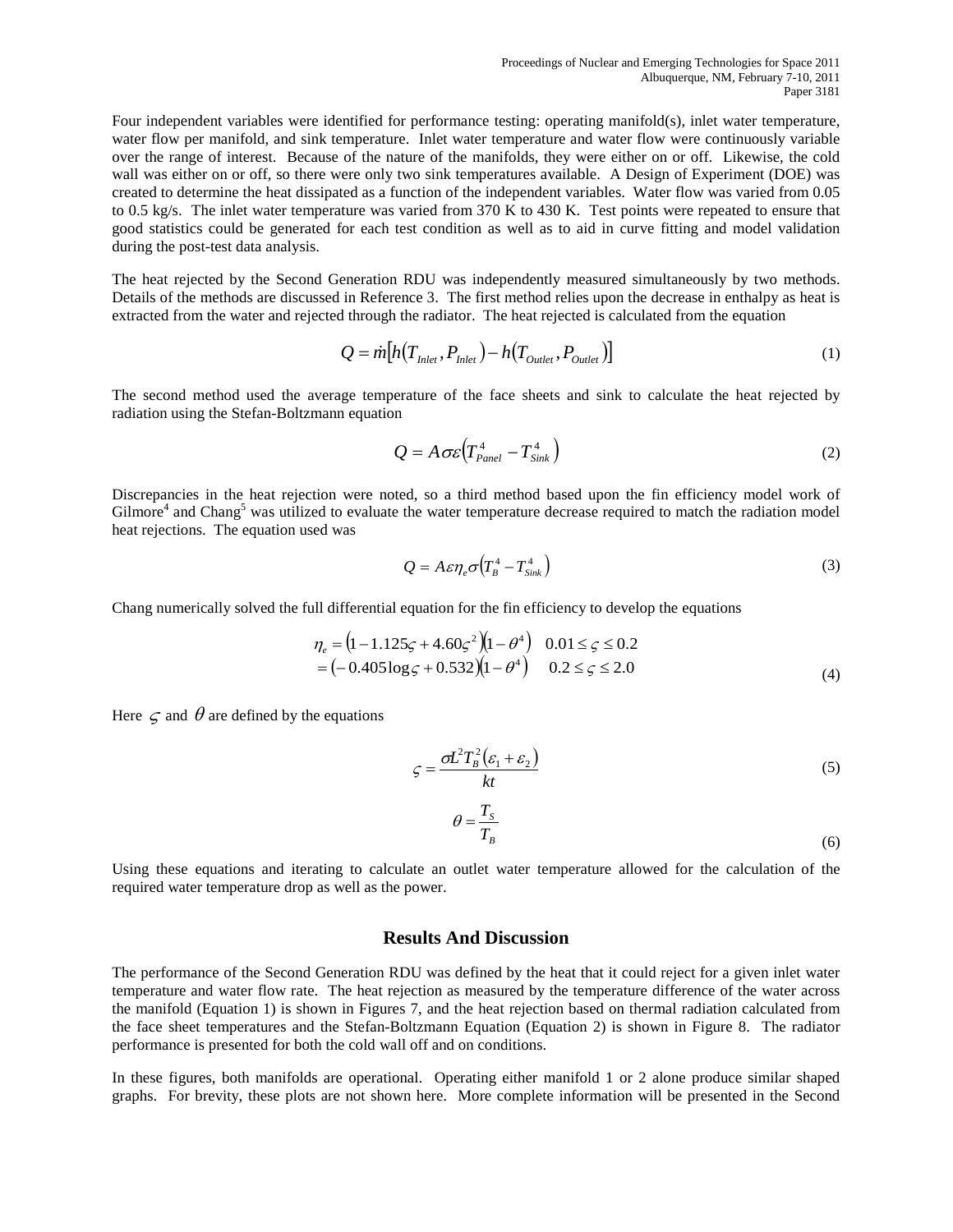Four independent variables were identified for performance testing: operating manifold(s), inlet water temperature, water flow per manifold, and sink temperature. Inlet water temperature and water flow were continuously variable over the range of interest. Because of the nature of the manifolds, they were either on or off. Likewise, the cold wall was either on or off, so there were only two sink temperatures available. A Design of Experiment (DOE) was created to determine the heat dissipated as a function of the independent variables. Water flow was varied from 0.05 to 0.5 kg/s. The inlet water temperature was varied from 370 K to 430 K. Test points were repeated to ensure that good statistics could be generated for each test condition as well as to aid in curve fitting and model validation during the post-test data analysis.

The heat rejected by the Second Generation RDU was independently measured simultaneously by two methods. Details of the methods are discussed in Reference 3. The first method relies upon the decrease in enthalpy as heat is extracted from the water and rejected through the radiator. The heat rejected is calculated from the equation

$$
Q = \dot{m} \big[ h(T_{\text{Inlet}}, P_{\text{Inlet}}) - h(T_{\text{Outter}}, P_{\text{Outlet}}) \big] \tag{1}
$$

The second method used the average temperature of the face sheets and sink to calculate the heat rejected by radiation using the Stefan-Boltzmann equation

$$
Q = A \sigma \varepsilon \left( T_{Panel}^4 - T_{Sink}^4 \right) \tag{2}
$$

Discrepancies in the heat rejection were noted, so a third method based upon the fin efficiency model work of Gilmore<sup>4</sup> and Chang<sup>5</sup> was utilized to evaluate the water temperature decrease required to match the radiation model heat rejections. The equation used was

$$
Q = A \varepsilon \eta_e \sigma \left( T_B^4 - T_{\text{Sink}}^4 \right) \tag{3}
$$

Chang numerically solved the full differential equation for the fin efficiency to develop the equations

$$
\eta_e = (1 - 1.125\zeta + 4.60\zeta^2)(1 - \theta^4) \quad 0.01 \le \zeta \le 0.2
$$
  
= (-0.405 log \zeta + 0.532)(1 - \theta^4) \quad 0.2 \le \zeta \le 2.0 (4)

Here  $\subset \subset \mathbb{R}^d$  are defined by the equations

$$
\zeta = \frac{\sigma L^2 T_B^2 (\varepsilon_1 + \varepsilon_2)}{kt}
$$
\n(5)

$$
\theta = \frac{T_s}{T_B} \tag{6}
$$

Using these equations and iterating to calculate an outlet water temperature allowed for the calculation of the required water temperature drop as well as the power.

#### **Results And Discussion**

The performance of the Second Generation RDU was defined by the heat that it could reject for a given inlet water temperature and water flow rate. The heat rejection as measured by the temperature difference of the water across the manifold (Equation 1) is shown in Figures 7, and the heat rejection based on thermal radiation calculated from the face sheet temperatures and the Stefan-Boltzmann Equation (Equation 2) is shown in Figure 8. The radiator performance is presented for both the cold wall off and on conditions.

In these figures, both manifolds are operational. Operating either manifold 1 or 2 alone produce similar shaped graphs. For brevity, these plots are not shown here. More complete information will be presented in the Second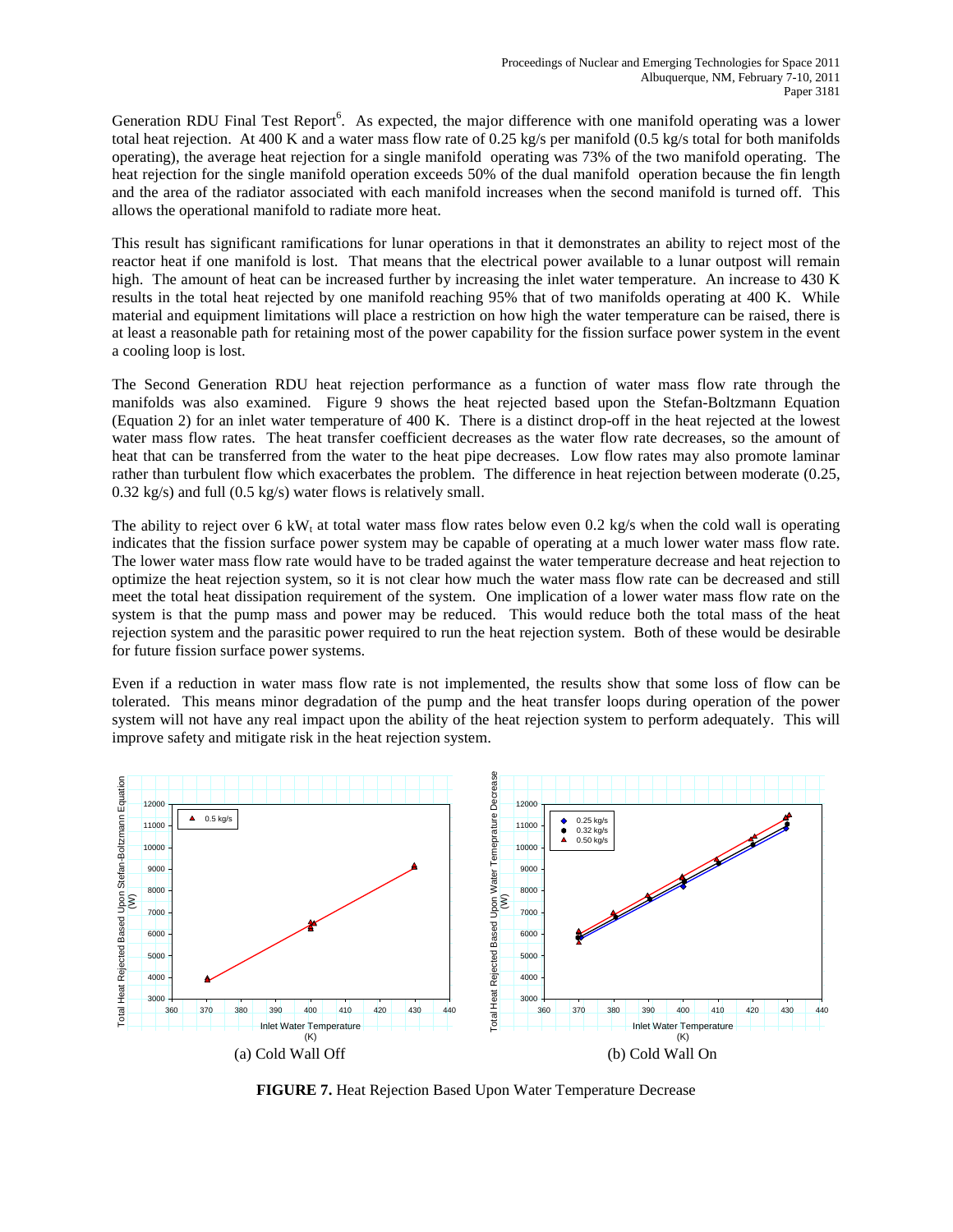Generation RDU Final Test Report<sup>6</sup>. As expected, the major difference with one manifold operating was a lower total heat rejection. At 400 K and a water mass flow rate of 0.25 kg/s per manifold  $(0.5 \text{ kg/s}$  total for both manifolds operating), the average heat rejection for a single manifold operating was 73% of the two manifold operating. The heat rejection for the single manifold operation exceeds 50% of the dual manifold operation because the fin length and the area of the radiator associated with each manifold increases when the second manifold is turned off. This allows the operational manifold to radiate more heat.

This result has significant ramifications for lunar operations in that it demonstrates an ability to reject most of the reactor heat if one manifold is lost. That means that the electrical power available to a lunar outpost will remain high. The amount of heat can be increased further by increasing the inlet water temperature. An increase to 430 K results in the total heat rejected by one manifold reaching 95% that of two manifolds operating at 400 K. While material and equipment limitations will place a restriction on how high the water temperature can be raised, there is at least a reasonable path for retaining most of the power capability for the fission surface power system in the event a cooling loop is lost.

The Second Generation RDU heat rejection performance as a function of water mass flow rate through the manifolds was also examined. Figure 9 shows the heat rejected based upon the Stefan-Boltzmann Equation (Equation 2) for an inlet water temperature of 400 K. There is a distinct drop-off in the heat rejected at the lowest water mass flow rates. The heat transfer coefficient decreases as the water flow rate decreases, so the amount of heat that can be transferred from the water to the heat pipe decreases. Low flow rates may also promote laminar rather than turbulent flow which exacerbates the problem. The difference in heat rejection between moderate (0.25, 0.32 kg/s) and full (0.5 kg/s) water flows is relatively small.

The ability to reject over 6 kW<sub>t</sub> at total water mass flow rates below even 0.2 kg/s when the cold wall is operating indicates that the fission surface power system may be capable of operating at a much lower water mass flow rate. The lower water mass flow rate would have to be traded against the water temperature decrease and heat rejection to optimize the heat rejection system, so it is not clear how much the water mass flow rate can be decreased and still meet the total heat dissipation requirement of the system. One implication of a lower water mass flow rate on the system is that the pump mass and power may be reduced. This would reduce both the total mass of the heat rejection system and the parasitic power required to run the heat rejection system. Both of these would be desirable for future fission surface power systems.

Even if a reduction in water mass flow rate is not implemented, the results show that some loss of flow can be tolerated. This means minor degradation of the pump and the heat transfer loops during operation of the power system will not have any real impact upon the ability of the heat rejection system to perform adequately. This will improve safety and mitigate risk in the heat rejection system.



**FIGURE 7.** Heat Rejection Based Upon Water Temperature Decrease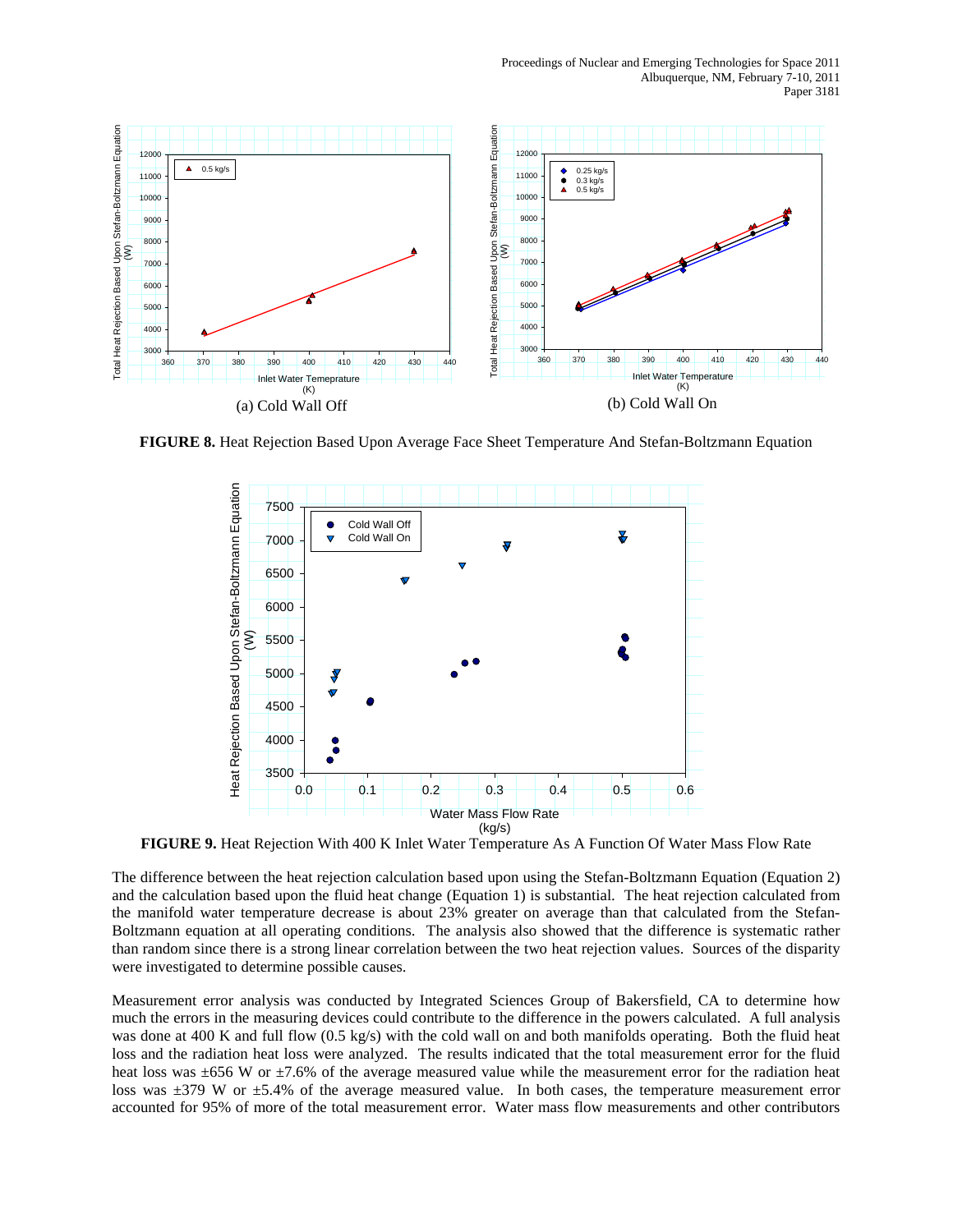

**FIGURE 8.** Heat Rejection Based Upon Average Face Sheet Temperature And Stefan-Boltzmann Equation



**FIGURE 9.** Heat Rejection With 400 K Inlet Water Temperature As A Function Of Water Mass Flow Rate

The difference between the heat rejection calculation based upon using the Stefan-Boltzmann Equation (Equation 2) and the calculation based upon the fluid heat change (Equation 1) is substantial. The heat rejection calculated from the manifold water temperature decrease is about 23% greater on average than that calculated from the Stefan-Boltzmann equation at all operating conditions. The analysis also showed that the difference is systematic rather than random since there is a strong linear correlation between the two heat rejection values. Sources of the disparity were investigated to determine possible causes.

Measurement error analysis was conducted by Integrated Sciences Group of Bakersfield, CA to determine how much the errors in the measuring devices could contribute to the difference in the powers calculated. A full analysis was done at 400 K and full flow (0.5 kg/s) with the cold wall on and both manifolds operating. Both the fluid heat loss and the radiation heat loss were analyzed. The results indicated that the total measurement error for the fluid heat loss was ±656 W or ±7.6% of the average measured value while the measurement error for the radiation heat loss was ±379 W or ±5.4% of the average measured value. In both cases, the temperature measurement error accounted for 95% of more of the total measurement error. Water mass flow measurements and other contributors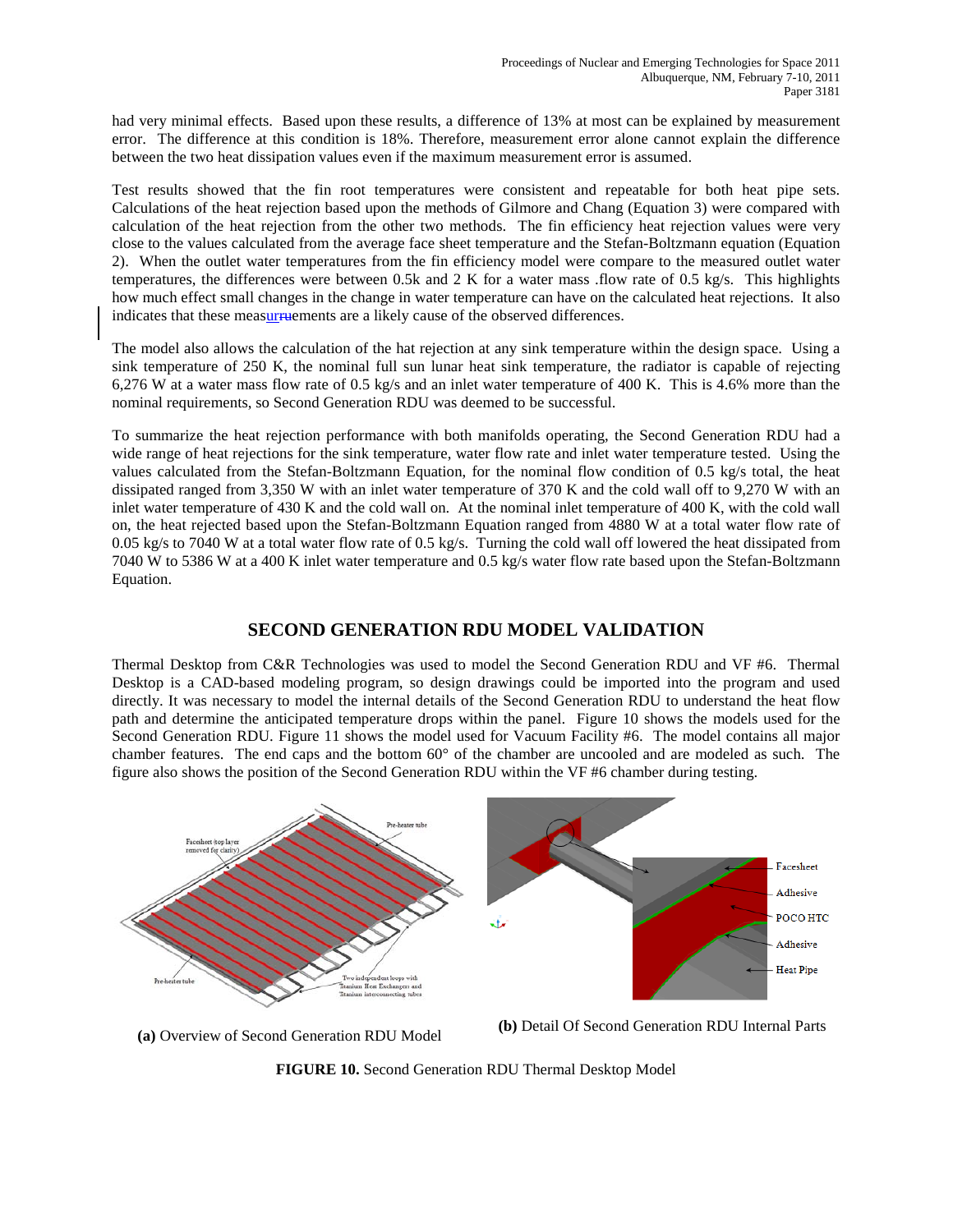had very minimal effects. Based upon these results, a difference of 13% at most can be explained by measurement error. The difference at this condition is 18%. Therefore, measurement error alone cannot explain the difference between the two heat dissipation values even if the maximum measurement error is assumed.

Test results showed that the fin root temperatures were consistent and repeatable for both heat pipe sets. Calculations of the heat rejection based upon the methods of Gilmore and Chang (Equation 3) were compared with calculation of the heat rejection from the other two methods. The fin efficiency heat rejection values were very close to the values calculated from the average face sheet temperature and the Stefan-Boltzmann equation (Equation 2). When the outlet water temperatures from the fin efficiency model were compare to the measured outlet water temperatures, the differences were between 0.5k and 2 K for a water mass .flow rate of 0.5 kg/s. This highlights how much effect small changes in the change in water temperature can have on the calculated heat rejections. It also indicates that these measurruements are a likely cause of the observed differences.

The model also allows the calculation of the hat rejection at any sink temperature within the design space. Using a sink temperature of 250 K, the nominal full sun lunar heat sink temperature, the radiator is capable of rejecting 6,276 W at a water mass flow rate of 0.5 kg/s and an inlet water temperature of 400 K. This is 4.6% more than the nominal requirements, so Second Generation RDU was deemed to be successful.

To summarize the heat rejection performance with both manifolds operating, the Second Generation RDU had a wide range of heat rejections for the sink temperature, water flow rate and inlet water temperature tested. Using the values calculated from the Stefan-Boltzmann Equation, for the nominal flow condition of 0.5 kg/s total, the heat dissipated ranged from 3,350 W with an inlet water temperature of 370 K and the cold wall off to 9,270 W with an inlet water temperature of 430 K and the cold wall on. At the nominal inlet temperature of 400 K, with the cold wall on, the heat rejected based upon the Stefan-Boltzmann Equation ranged from 4880 W at a total water flow rate of 0.05 kg/s to 7040 W at a total water flow rate of 0.5 kg/s. Turning the cold wall off lowered the heat dissipated from 7040 W to 5386 W at a 400 K inlet water temperature and 0.5 kg/s water flow rate based upon the Stefan-Boltzmann Equation.

## **SECOND GENERATION RDU MODEL VALIDATION**

Thermal Desktop from C&R Technologies was used to model the Second Generation RDU and VF #6. Thermal Desktop is a CAD-based modeling program, so design drawings could be imported into the program and used directly. It was necessary to model the internal details of the Second Generation RDU to understand the heat flow path and determine the anticipated temperature drops within the panel. Figure 10 shows the models used for the Second Generation RDU. Figure 11 shows the model used for Vacuum Facility #6. The model contains all major chamber features. The end caps and the bottom 60° of the chamber are uncooled and are modeled as such. The figure also shows the position of the Second Generation RDU within the VF #6 chamber during testing.



**(a)** Overview of Second Generation RDU Model **(b)** Detail Of Second Generation RDU Internal Parts

**FIGURE 10.** Second Generation RDU Thermal Desktop Model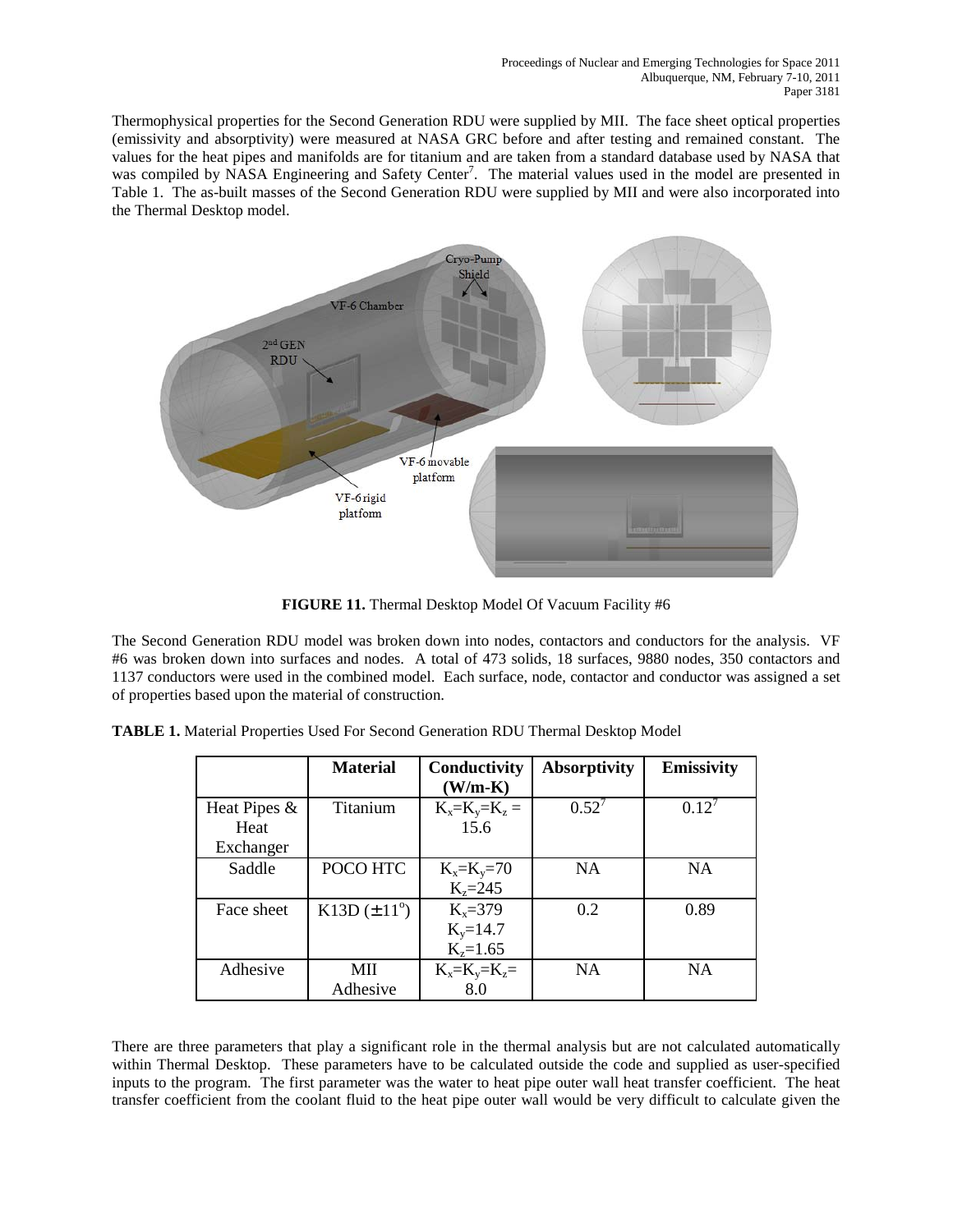Thermophysical properties for the Second Generation RDU were supplied by MII. The face sheet optical properties (emissivity and absorptivity) were measured at NASA GRC before and after testing and remained constant. The values for the heat pipes and manifolds are for titanium and are taken from a standard database used by NASA that was compiled by NASA Engineering and Safety Center<sup>7</sup>. The material values used in the model are presented in Table 1. The as-built masses of the Second Generation RDU were supplied by MII and were also incorporated into the Thermal Desktop model.



**FIGURE 11.** Thermal Desktop Model Of Vacuum Facility #6

The Second Generation RDU model was broken down into nodes, contactors and conductors for the analysis. VF #6 was broken down into surfaces and nodes. A total of 473 solids, 18 surfaces, 9880 nodes, 350 contactors and 1137 conductors were used in the combined model. Each surface, node, contactor and conductor was assigned a set of properties based upon the material of construction.

|              | <b>Material</b>         | Conductivity   | <b>Absorptivity</b> | <b>Emissivity</b> |
|--------------|-------------------------|----------------|---------------------|-------------------|
|              |                         | $(W/m-K)$      |                     |                   |
| Heat Pipes & | Titanium                | $K_x=K_y=K_z=$ | $0.52^7$            | $0.12^7$          |
| Heat         |                         | 15.6           |                     |                   |
| Exchanger    |                         |                |                     |                   |
| Saddle       | POCO HTC                | $K_x=K_y=70$   | NA                  | <b>NA</b>         |
|              |                         | $K_{z} = 245$  |                     |                   |
| Face sheet   | $K13D (\pm 11^{\circ})$ | $K_x=379$      | 0.2                 | 0.89              |
|              |                         | $K_v = 14.7$   |                     |                   |
|              |                         | $K_{z} = 1.65$ |                     |                   |
| Adhesive     | MП                      | $K_x=K_y=K_z=$ | NA                  | <b>NA</b>         |
|              | Adhesive                | 8.0            |                     |                   |

**TABLE 1.** Material Properties Used For Second Generation RDU Thermal Desktop Model

There are three parameters that play a significant role in the thermal analysis but are not calculated automatically within Thermal Desktop. These parameters have to be calculated outside the code and supplied as user-specified inputs to the program. The first parameter was the water to heat pipe outer wall heat transfer coefficient. The heat transfer coefficient from the coolant fluid to the heat pipe outer wall would be very difficult to calculate given the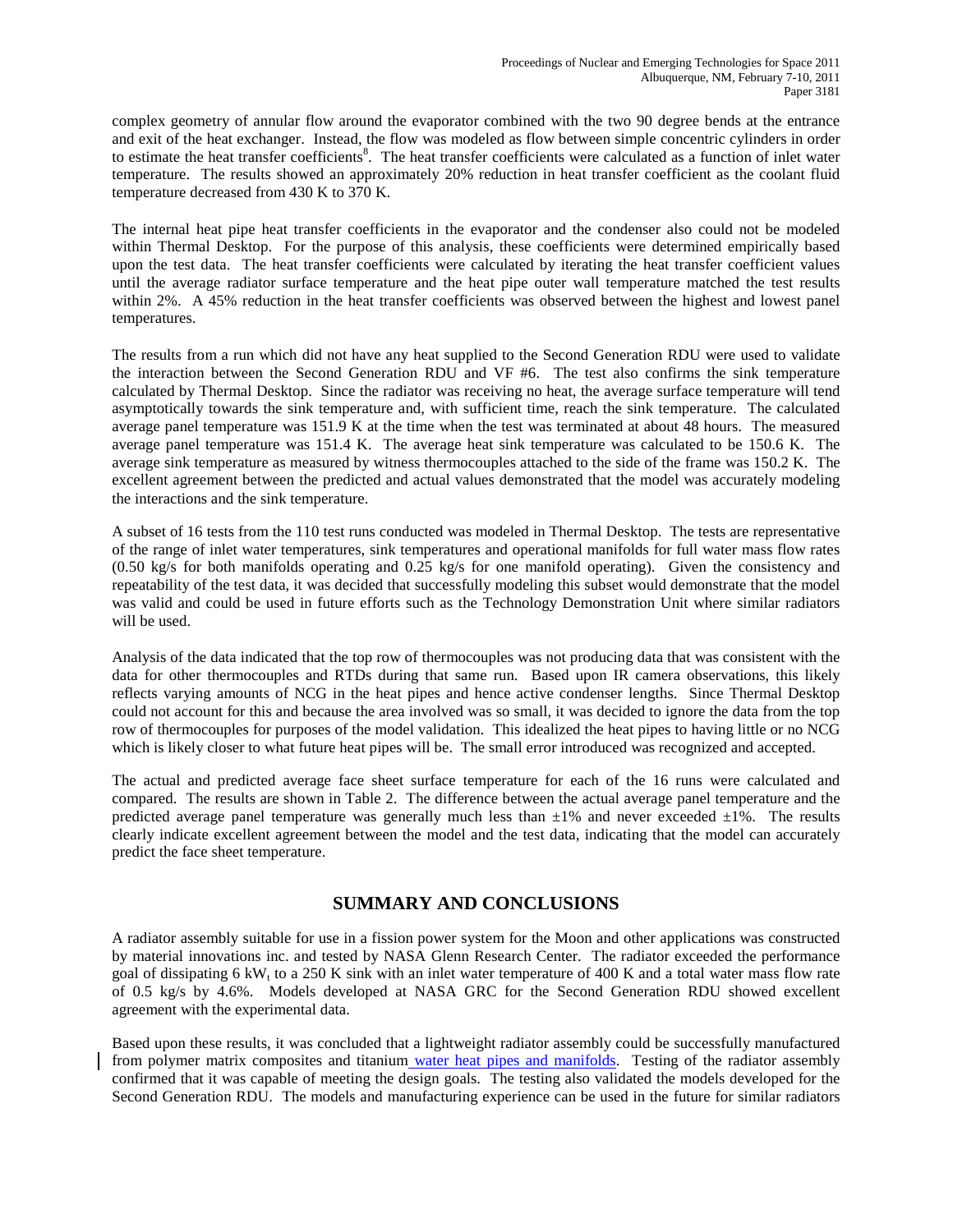complex geometry of annular flow around the evaporator combined with the two 90 degree bends at the entrance and exit of the heat exchanger. Instead, the flow was modeled as flow between simple concentric cylinders in order to estimate the heat transfer coefficients<sup>8</sup>. The heat transfer coefficients were calculated as a function of inlet water temperature. The results showed an approximately 20% reduction in heat transfer coefficient as the coolant fluid temperature decreased from 430 K to 370 K.

The internal heat pipe heat transfer coefficients in the evaporator and the condenser also could not be modeled within Thermal Desktop. For the purpose of this analysis, these coefficients were determined empirically based upon the test data. The heat transfer coefficients were calculated by iterating the heat transfer coefficient values until the average radiator surface temperature and the heat pipe outer wall temperature matched the test results within 2%. A 45% reduction in the heat transfer coefficients was observed between the highest and lowest panel temperatures.

The results from a run which did not have any heat supplied to the Second Generation RDU were used to validate the interaction between the Second Generation RDU and VF #6. The test also confirms the sink temperature calculated by Thermal Desktop. Since the radiator was receiving no heat, the average surface temperature will tend asymptotically towards the sink temperature and, with sufficient time, reach the sink temperature. The calculated average panel temperature was 151.9 K at the time when the test was terminated at about 48 hours. The measured average panel temperature was 151.4 K. The average heat sink temperature was calculated to be 150.6 K. The average sink temperature as measured by witness thermocouples attached to the side of the frame was 150.2 K. The excellent agreement between the predicted and actual values demonstrated that the model was accurately modeling the interactions and the sink temperature.

A subset of 16 tests from the 110 test runs conducted was modeled in Thermal Desktop. The tests are representative of the range of inlet water temperatures, sink temperatures and operational manifolds for full water mass flow rates (0.50 kg/s for both manifolds operating and 0.25 kg/s for one manifold operating). Given the consistency and repeatability of the test data, it was decided that successfully modeling this subset would demonstrate that the model was valid and could be used in future efforts such as the Technology Demonstration Unit where similar radiators will be used.

Analysis of the data indicated that the top row of thermocouples was not producing data that was consistent with the data for other thermocouples and RTDs during that same run. Based upon IR camera observations, this likely reflects varying amounts of NCG in the heat pipes and hence active condenser lengths. Since Thermal Desktop could not account for this and because the area involved was so small, it was decided to ignore the data from the top row of thermocouples for purposes of the model validation. This idealized the heat pipes to having little or no NCG which is likely closer to what future heat pipes will be. The small error introduced was recognized and accepted.

The actual and predicted average face sheet surface temperature for each of the 16 runs were calculated and compared. The results are shown in Table 2. The difference between the actual average panel temperature and the predicted average panel temperature was generally much less than  $\pm 1\%$  and never exceeded  $\pm 1\%$ . The results clearly indicate excellent agreement between the model and the test data, indicating that the model can accurately predict the face sheet temperature.

## **SUMMARY AND CONCLUSIONS**

A radiator assembly suitable for use in a fission power system for the Moon and other applications was constructed by material innovations inc. and tested by NASA Glenn Research Center. The radiator exceeded the performance goal of dissipating 6 kW<sub>t</sub> to a 250 K sink with an inlet water temperature of 400 K and a total water mass flow rate of 0.5 kg/s by 4.6%. Models developed at NASA GRC for the Second Generation RDU showed excellent agreement with the experimental data.

Based upon these results, it was concluded that a lightweight radiator assembly could be successfully manufactured from polymer matrix composites and titanium water heat pipes and manifolds. Testing of the radiator assembly confirmed that it was capable of meeting the design goals. The testing also validated the models developed for the Second Generation RDU. The models and manufacturing experience can be used in the future for similar radiators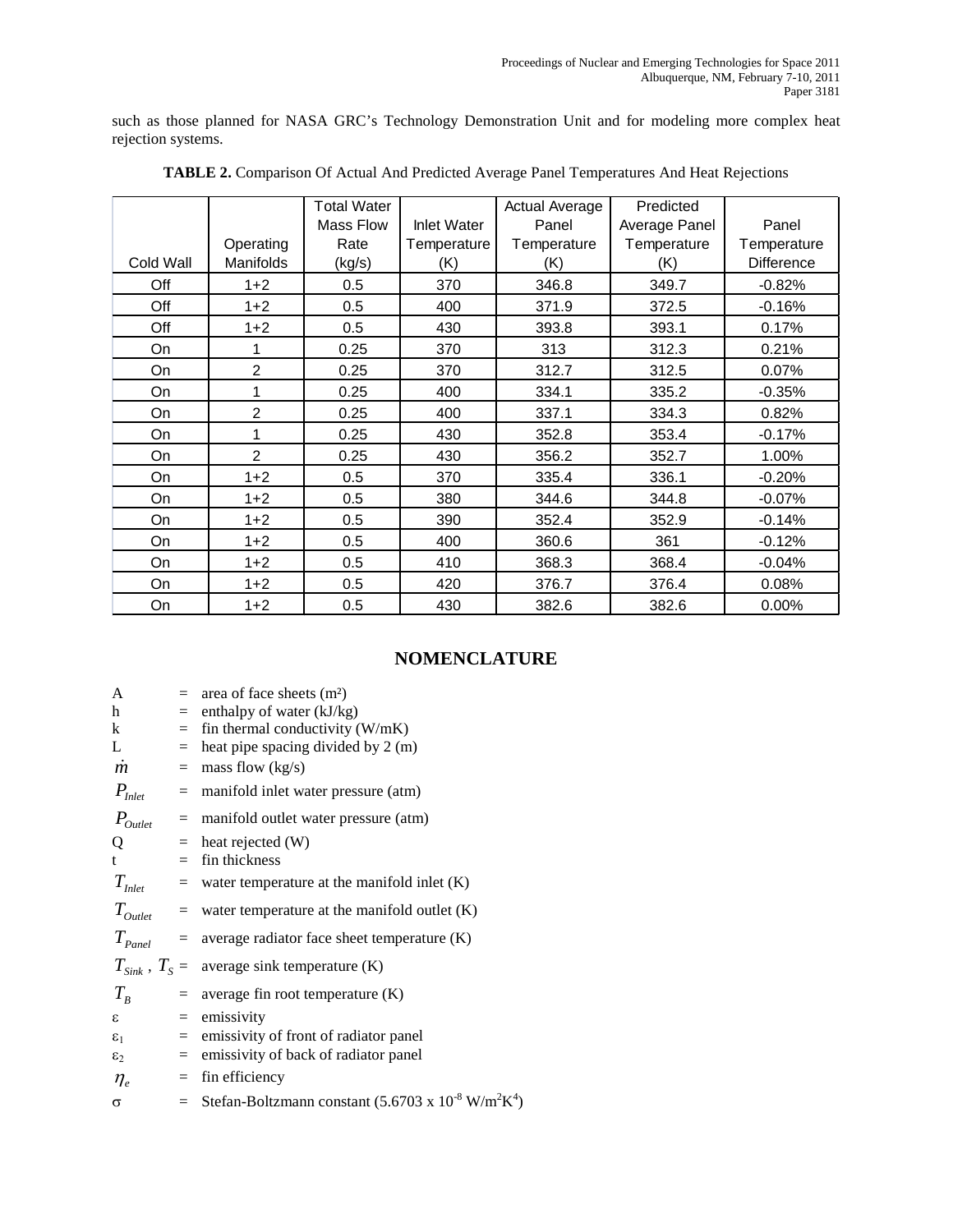such as those planned for NASA GRC's Technology Demonstration Unit and for modeling more complex heat rejection systems.

|           |                  | <b>Total Water</b> |                    | <b>Actual Average</b> | Predicted     |                   |
|-----------|------------------|--------------------|--------------------|-----------------------|---------------|-------------------|
|           |                  | Mass Flow          | <b>Inlet Water</b> | Panel                 | Average Panel | Panel             |
|           | Operating        | Rate               | Temperature        | Temperature           | Temperature   | Temperature       |
| Cold Wall | <b>Manifolds</b> | (kg/s)             | (K)                | (K)                   | (K)           | <b>Difference</b> |
| Off       | $1 + 2$          | 0.5                | 370                | 346.8                 | 349.7         | $-0.82%$          |
| Off       | $1 + 2$          | 0.5                | 400                | 371.9                 | 372.5         | $-0.16%$          |
| Off       | $1 + 2$          | 0.5                | 430                | 393.8                 | 393.1         | 0.17%             |
| On        | 1                | 0.25               | 370                | 313                   | 312.3         | 0.21%             |
| On        | $\overline{2}$   | 0.25               | 370                | 312.7                 | 312.5         | 0.07%             |
| On        | 1                | 0.25               | 400                | 334.1                 | 335.2         | $-0.35%$          |
| On        | 2                | 0.25               | 400                | 337.1                 | 334.3         | 0.82%             |
| On        | 1                | 0.25               | 430                | 352.8                 | 353.4         | $-0.17%$          |
| On        | $\overline{2}$   | 0.25               | 430                | 356.2                 | 352.7         | 1.00%             |
| On        | $1+2$            | 0.5                | 370                | 335.4                 | 336.1         | $-0.20%$          |
| On        | $1+2$            | 0.5                | 380                | 344.6                 | 344.8         | $-0.07%$          |
| On        | $1 + 2$          | 0.5                | 390                | 352.4                 | 352.9         | $-0.14%$          |
| On        | $1 + 2$          | 0.5                | 400                | 360.6                 | 361           | $-0.12%$          |
| On        | $1+2$            | 0.5                | 410                | 368.3                 | 368.4         | $-0.04%$          |
| On        | $1+2$            | 0.5                | 420                | 376.7                 | 376.4         | 0.08%             |
| On        | $1+2$            | 0.5                | 430                | 382.6                 | 382.6         | 0.00%             |

| TABLE 2. Comparison Of Actual And Predicted Average Panel Temperatures And Heat Rejections |
|--------------------------------------------------------------------------------------------|
|--------------------------------------------------------------------------------------------|

## **NOMENCLATURE**

| A                             |     | $=$ area of face sheets (m <sup>2</sup> )                                      |
|-------------------------------|-----|--------------------------------------------------------------------------------|
| h                             |     | $=$ enthalpy of water (kJ/kg)                                                  |
| k                             | $=$ | fin thermal conductivity (W/mK)                                                |
| L                             | $=$ | heat pipe spacing divided by 2 (m)                                             |
| $\boldsymbol{m}$              | $=$ | mass flow $(kg/s)$                                                             |
| $P_{\text{Inlet}}$            | $=$ | manifold inlet water pressure (atm)                                            |
| $P_{\textit{Outlet}}$         | $=$ | manifold outlet water pressure (atm)                                           |
| Q                             |     | $=$ heat rejected (W)                                                          |
| t                             | $=$ | fin thickness                                                                  |
| $T_{\text{Inlet}}$            | $=$ | water temperature at the manifold inlet $(K)$                                  |
| $T_{\text{outlet}}$ =         |     | water temperature at the manifold outlet $(K)$                                 |
| $T_{\mathit{Panel}}$          |     | $=$ average radiator face sheet temperature $(K)$                              |
|                               |     | $T_{\text{Sink}}$ , $T_s$ = average sink temperature (K)                       |
| $T_{R}$                       |     | $=$ average fin root temperature $(K)$                                         |
| ε                             |     | $=$ emissivity                                                                 |
| $\varepsilon_1$               |     | $=$ emissivity of front of radiator panel                                      |
| $\varepsilon$                 | $=$ | emissivity of back of radiator panel                                           |
| $\eta_{\scriptscriptstyle e}$ | $=$ | fin efficiency                                                                 |
| σ                             |     | = Stefan-Boltzmann constant $(5.6703 \times 10^{-8} \text{ W/m}^2 \text{K}^4)$ |